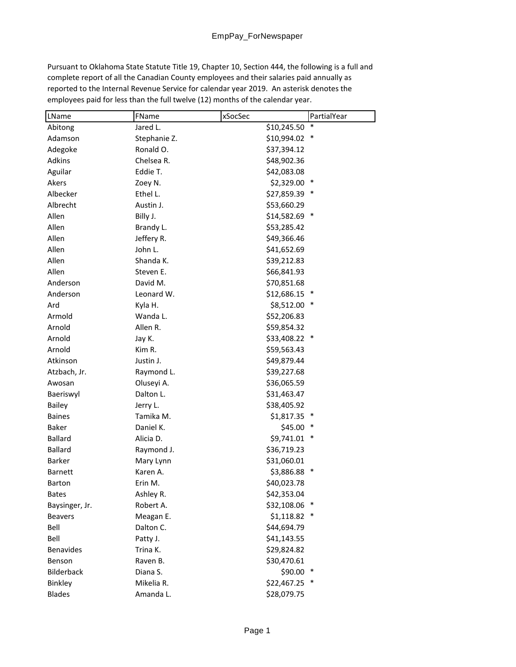Pursuant to Oklahoma State Statute Title 19, Chapter 10, Section 444, the following is a full and complete report of all the Canadian County employees and their salaries paid annually as reported to the Internal Revenue Service for calendar year 2019. An asterisk denotes the employees paid for less than the full twelve (12) months of the calendar year.

| LName            | FName        | xSocSec       | PartialYear |
|------------------|--------------|---------------|-------------|
| Abitong          | Jared L.     | \$10,245.50   |             |
| Adamson          | Stephanie Z. | \$10,994.02 * |             |
| Adegoke          | Ronald O.    | \$37,394.12   |             |
| Adkins           | Chelsea R.   | \$48,902.36   |             |
| Aguilar          | Eddie T.     | \$42,083.08   |             |
| Akers            | Zoey N.      | \$2,329.00    |             |
| Albecker         | Ethel L.     | \$27,859.39 * |             |
| Albrecht         | Austin J.    | \$53,660.29   |             |
| Allen            | Billy J.     | \$14,582.69 * |             |
| Allen            | Brandy L.    | \$53,285.42   |             |
| Allen            | Jeffery R.   | \$49,366.46   |             |
| Allen            | John L.      | \$41,652.69   |             |
| Allen            | Shanda K.    | \$39,212.83   |             |
| Allen            | Steven E.    | \$66,841.93   |             |
| Anderson         | David M.     | \$70,851.68   |             |
| Anderson         | Leonard W.   | \$12,686.15   |             |
| Ard              | Kyla H.      | \$8,512.00    |             |
| Armold           | Wanda L.     | \$52,206.83   |             |
| Arnold           | Allen R.     | \$59,854.32   |             |
| Arnold           | Jay K.       | \$33,408.22 * |             |
| Arnold           | Kim R.       | \$59,563.43   |             |
| Atkinson         | Justin J.    | \$49,879.44   |             |
| Atzbach, Jr.     | Raymond L.   | \$39,227.68   |             |
| Awosan           | Oluseyi A.   | \$36,065.59   |             |
| Baeriswyl        | Dalton L.    | \$31,463.47   |             |
| <b>Bailey</b>    | Jerry L.     | \$38,405.92   |             |
| <b>Baines</b>    | Tamika M.    | \$1,817.35    |             |
| <b>Baker</b>     | Daniel K.    | \$45.00       |             |
| <b>Ballard</b>   | Alicia D.    | \$9,741.01 *  |             |
| <b>Ballard</b>   | Raymond J.   | \$36,719.23   |             |
| Barker           | Mary Lynn    | \$31,060.01   |             |
| <b>Barnett</b>   | Karen A.     | \$3,886.88    |             |
| Barton           | Erin M.      | \$40,023.78   |             |
| <b>Bates</b>     | Ashley R.    | \$42,353.04   |             |
| Baysinger, Jr.   | Robert A.    | \$32,108.06   |             |
| <b>Beavers</b>   | Meagan E.    | \$1,118.82    |             |
| Bell             | Dalton C.    | \$44,694.79   |             |
| Bell             | Patty J.     | \$41,143.55   |             |
| <b>Benavides</b> | Trina K.     | \$29,824.82   |             |
| Benson           | Raven B.     | \$30,470.61   |             |
| Bilderback       | Diana S.     | \$90.00       |             |
| Binkley          | Mikelia R.   | \$22,467.25 * |             |
| <b>Blades</b>    | Amanda L.    | \$28,079.75   |             |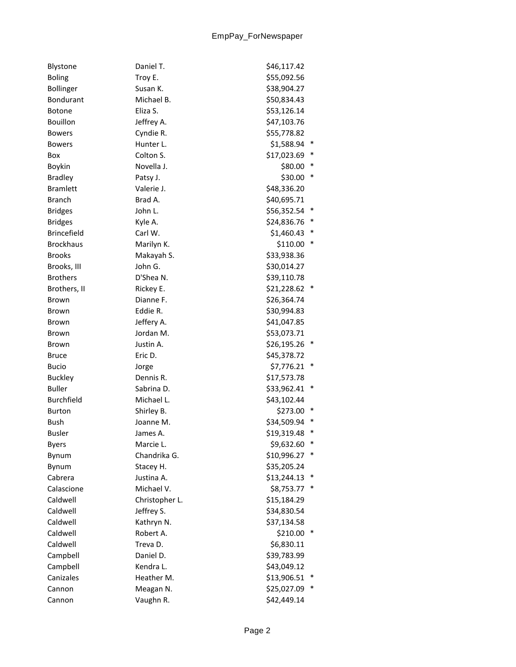| Blystone           | Daniel T.      | \$46,117.42 |        |
|--------------------|----------------|-------------|--------|
| <b>Boling</b>      | Troy E.        | \$55,092.56 |        |
| <b>Bollinger</b>   | Susan K.       | \$38,904.27 |        |
| Bondurant          | Michael B.     | \$50,834.43 |        |
| Botone             | Eliza S.       | \$53,126.14 |        |
| <b>Bouillon</b>    | Jeffrey A.     | \$47,103.76 |        |
| <b>Bowers</b>      | Cyndie R.      | \$55,778.82 |        |
| <b>Bowers</b>      | Hunter L.      | \$1,588.94  | $\ast$ |
| Box                | Colton S.      | \$17,023.69 |        |
| Boykin             | Novella J.     | \$80.00     | $\ast$ |
| <b>Bradley</b>     | Patsy J.       | \$30.00     | $\ast$ |
| <b>Bramlett</b>    | Valerie J.     | \$48,336.20 |        |
| <b>Branch</b>      | Brad A.        | \$40,695.71 |        |
| <b>Bridges</b>     | John L.        | \$56,352.54 |        |
| <b>Bridges</b>     | Kyle A.        | \$24,836.76 |        |
| <b>Brincefield</b> | Carl W.        | \$1,460.43  | $\ast$ |
| <b>Brockhaus</b>   | Marilyn K.     | \$110.00    | $\ast$ |
| <b>Brooks</b>      | Makayah S.     | \$33,938.36 |        |
| Brooks, III        | John G.        | \$30,014.27 |        |
| <b>Brothers</b>    | D'Shea N.      | \$39,110.78 |        |
| Brothers, II       | Rickey E.      | \$21,228.62 | $\ast$ |
| Brown              | Dianne F.      | \$26,364.74 |        |
| Brown              | Eddie R.       | \$30,994.83 |        |
| Brown              | Jeffery A.     | \$41,047.85 |        |
| <b>Brown</b>       | Jordan M.      | \$53,073.71 |        |
| Brown              | Justin A.      | \$26,195.26 |        |
| <b>Bruce</b>       | Eric D.        | \$45,378.72 |        |
| <b>Bucio</b>       | Jorge          | \$7,776.21  | $\ast$ |
| <b>Buckley</b>     | Dennis R.      | \$17,573.78 |        |
| <b>Buller</b>      | Sabrina D.     | \$33,962.41 | ∗      |
| Burchfield         | Michael L.     | \$43,102.44 |        |
| <b>Burton</b>      | Shirley B.     | \$273.00    | $\ast$ |
| <b>Bush</b>        | Joanne M.      | \$34,509.94 | ∗      |
| <b>Busler</b>      | James A.       | \$19,319.48 | *      |
| <b>Byers</b>       | Marcie L.      | \$9,632.60  |        |
| Bynum              | Chandrika G.   | \$10,996.27 | ∗      |
| Bynum              | Stacey H.      | \$35,205.24 |        |
| Cabrera            | Justina A.     | \$13,244.13 | ∗      |
| Calascione         | Michael V.     | \$8,753.77  |        |
| Caldwell           | Christopher L. | \$15,184.29 |        |
| Caldwell           | Jeffrey S.     | \$34,830.54 |        |
| Caldwell           | Kathryn N.     | \$37,134.58 |        |
| Caldwell           | Robert A.      | \$210.00    | ∗      |
| Caldwell           | Treva D.       | \$6,830.11  |        |
| Campbell           | Daniel D.      | \$39,783.99 |        |
| Campbell           | Kendra L.      | \$43,049.12 |        |
| Canizales          | Heather M.     | \$13,906.51 | $\ast$ |
| Cannon             | Meagan N.      | \$25,027.09 |        |
| Cannon             | Vaughn R.      | \$42,449.14 |        |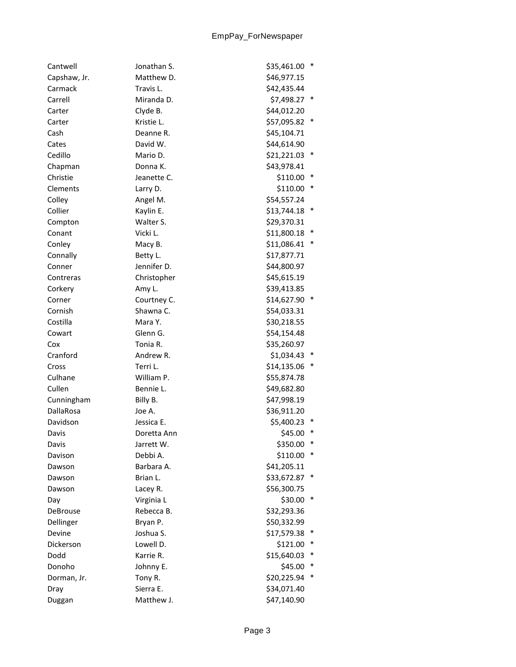| Cantwell     | Jonathan S. | \$35,461.00 | $\ast$ |
|--------------|-------------|-------------|--------|
| Capshaw, Jr. | Matthew D.  | \$46,977.15 |        |
| Carmack      | Travis L.   | \$42,435.44 |        |
| Carrell      | Miranda D.  | \$7,498.27  |        |
| Carter       | Clyde B.    | \$44,012.20 |        |
| Carter       | Kristie L.  | \$57,095.82 | $\ast$ |
| Cash         | Deanne R.   | \$45,104.71 |        |
| Cates        | David W.    | \$44,614.90 |        |
| Cedillo      | Mario D.    | \$21,221.03 |        |
| Chapman      | Donna K.    | \$43,978.41 |        |
| Christie     | Jeanette C. | \$110.00    | $\ast$ |
| Clements     | Larry D.    | \$110.00    | $\ast$ |
| Colley       | Angel M.    | \$54,557.24 |        |
| Collier      | Kaylin E.   | \$13,744.18 | $\ast$ |
| Compton      | Walter S.   | \$29,370.31 |        |
| Conant       | Vicki L.    | \$11,800.18 | $\ast$ |
| Conley       | Macy B.     | \$11,086.41 | $\ast$ |
| Connally     | Betty L.    | \$17,877.71 |        |
| Conner       | Jennifer D. | \$44,800.97 |        |
| Contreras    | Christopher | \$45,615.19 |        |
| Corkery      | Amy L.      | \$39,413.85 |        |
| Corner       | Courtney C. | \$14,627.90 | $\ast$ |
| Cornish      | Shawna C.   | \$54,033.31 |        |
| Costilla     | Mara Y.     | \$30,218.55 |        |
| Cowart       | Glenn G.    | \$54,154.48 |        |
| Cox          | Tonia R.    | \$35,260.97 |        |
| Cranford     | Andrew R.   | \$1,034.43  |        |
| Cross        | Terri L.    | \$14,135.06 | $\ast$ |
| Culhane      | William P.  | \$55,874.78 |        |
| Cullen       | Bennie L.   | \$49,682.80 |        |
| Cunningham   | Billy B.    | \$47,998.19 |        |
| DallaRosa    | Joe A.      | \$36,911.20 |        |
| Davidson     | Jessica E.  | \$5,400.23  |        |
| Davis        | Doretta Ann | \$45.00     | ∗      |
| Davis        | Jarrett W.  | \$350.00    | ∗      |
| Davison      | Debbi A.    | \$110.00    | ∗      |
| Dawson       | Barbara A.  | \$41,205.11 |        |
| Dawson       | Brian L.    | \$33,672.87 |        |
| Dawson       | Lacey R.    | \$56,300.75 |        |
| Day          | Virginia L  | \$30.00     | $\ast$ |
| DeBrouse     | Rebecca B.  | \$32,293.36 |        |
| Dellinger    | Bryan P.    | \$50,332.99 |        |
| Devine       | Joshua S.   | \$17,579.38 |        |
| Dickerson    | Lowell D.   | \$121.00    | ∗      |
| Dodd         | Karrie R.   | \$15,640.03 | ∗      |
| Donoho       | Johnny E.   | \$45.00     | ∗      |
| Dorman, Jr.  | Tony R.     | \$20,225.94 | $\ast$ |
| Dray         | Sierra E.   | \$34,071.40 |        |
| Duggan       | Matthew J.  | \$47,140.90 |        |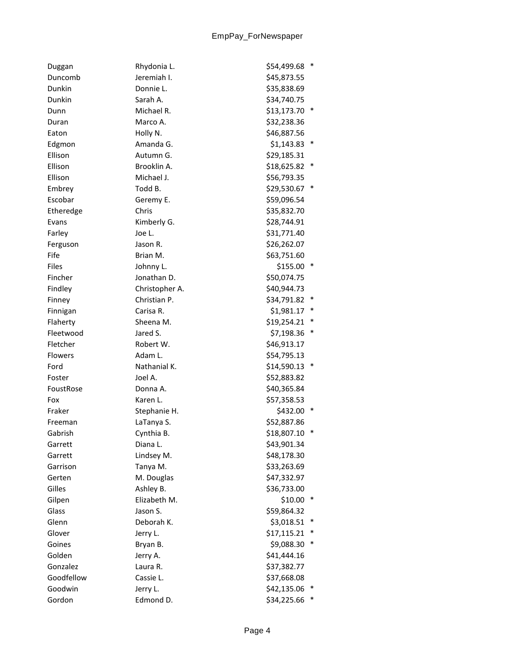| Duggan         | Rhydonia L.    | \$54,499.68<br>$\ast$ |
|----------------|----------------|-----------------------|
| Duncomb        | Jeremiah I.    | \$45,873.55           |
| Dunkin         | Donnie L.      | \$35,838.69           |
| Dunkin         | Sarah A.       | \$34,740.75           |
| Dunn           | Michael R.     | \$13,173.70<br>$\ast$ |
| Duran          | Marco A.       | \$32,238.36           |
| Eaton          | Holly N.       | \$46,887.56           |
| Edgmon         | Amanda G.      | $\ast$<br>\$1,143.83  |
| Ellison        | Autumn G.      | \$29,185.31           |
| Ellison        | Brooklin A.    | \$18,625.82<br>*      |
| Ellison        | Michael J.     | \$56,793.35           |
| Embrey         | Todd B.        | $\ast$<br>\$29,530.67 |
| Escobar        | Geremy E.      | \$59,096.54           |
| Etheredge      | Chris          | \$35,832.70           |
| Evans          | Kimberly G.    | \$28,744.91           |
| Farley         | Joe L.         | \$31,771.40           |
| Ferguson       | Jason R.       | \$26,262.07           |
| Fife           | Brian M.       | \$63,751.60           |
| <b>Files</b>   | Johnny L.      | \$155.00              |
| Fincher        | Jonathan D.    | \$50,074.75           |
| Findley        | Christopher A. | \$40,944.73           |
| Finney         | Christian P.   | \$34,791.82<br>∗      |
| Finnigan       | Carisa R.      | $\ast$<br>\$1,981.17  |
| Flaherty       | Sheena M.      | \$19,254.21           |
| Fleetwood      | Jared S.       | ∗<br>\$7,198.36       |
| Fletcher       | Robert W.      | \$46,913.17           |
| <b>Flowers</b> | Adam L.        | \$54,795.13           |
| Ford           | Nathanial K.   | $\ast$<br>\$14,590.13 |
| Foster         | Joel A.        | \$52,883.82           |
| FoustRose      | Donna A.       | \$40,365.84           |
| Fox            | Karen L.       | \$57,358.53           |
| Fraker         | Stephanie H.   | \$432.00<br>$\ast$    |
| Freeman        | LaTanya S.     | \$52,887.86           |
| Gabrish        | Cynthia B.     | $\ast$<br>\$18,807.10 |
| Garrett        | Diana L.       | \$43,901.34           |
| Garrett        | Lindsey M.     | \$48,178.30           |
| Garrison       | Tanya M.       | \$33,263.69           |
| Gerten         | M. Douglas     | \$47,332.97           |
| Gilles         | Ashley B.      | \$36,733.00           |
| Gilpen         | Elizabeth M.   | \$10.00<br>∗          |
| Glass          | Jason S.       | \$59,864.32           |
| Glenn          | Deborah K.     | \$3,018.51<br>∗       |
| Glover         | Jerry L.       | \$17,115.21<br>∗      |
| Goines         | Bryan B.       | *<br>\$9,088.30       |
| Golden         | Jerry A.       | \$41,444.16           |
| Gonzalez       | Laura R.       | \$37,382.77           |
| Goodfellow     | Cassie L.      | \$37,668.08           |
| Goodwin        | Jerry L.       | \$42,135.06<br>$\ast$ |
| Gordon         | Edmond D.      | \$34,225.66           |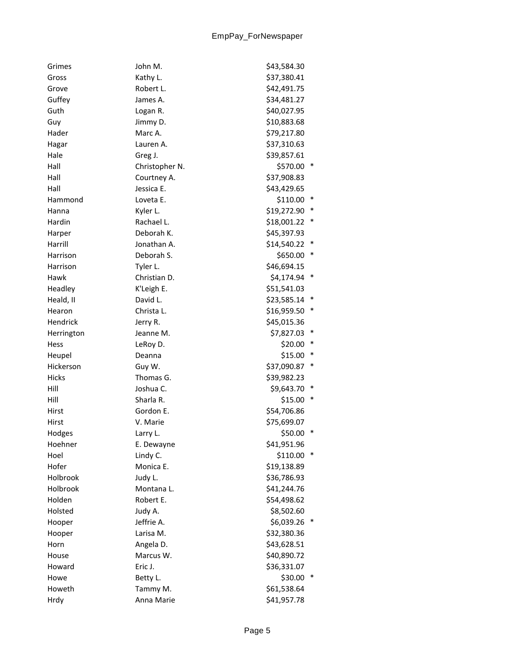| Grimes     | John M.        | \$43,584.30           |  |
|------------|----------------|-----------------------|--|
| Gross      | Kathy L.       | \$37,380.41           |  |
| Grove      | Robert L.      | \$42,491.75           |  |
| Guffey     | James A.       | \$34,481.27           |  |
| Guth       | Logan R.       | \$40,027.95           |  |
| Guy        | Jimmy D.       | \$10,883.68           |  |
| Hader      | Marc A.        | \$79,217.80           |  |
| Hagar      | Lauren A.      | \$37,310.63           |  |
| Hale       | Greg J.        | \$39,857.61           |  |
| Hall       | Christopher N. | \$570.00<br>$\ast$    |  |
| Hall       | Courtney A.    | \$37,908.83           |  |
| Hall       | Jessica E.     | \$43,429.65           |  |
| Hammond    | Loveta E.      | $\ast$<br>\$110.00    |  |
| Hanna      | Kyler L.       | \$19,272.90           |  |
| Hardin     | Rachael L.     | $\ast$<br>\$18,001.22 |  |
| Harper     | Deborah K.     | \$45,397.93           |  |
| Harrill    | Jonathan A.    | \$14,540.22<br>*      |  |
| Harrison   | Deborah S.     | $\ast$<br>\$650.00    |  |
| Harrison   | Tyler L.       | \$46,694.15           |  |
| Hawk       | Christian D.   | \$4,174.94 *          |  |
| Headley    | K'Leigh E.     | \$51,541.03           |  |
| Heald, II  | David L.       | $\ast$<br>\$23,585.14 |  |
| Hearon     | Christa L.     | \$16,959.50           |  |
| Hendrick   | Jerry R.       | \$45,015.36           |  |
| Herrington | Jeanne M.      | \$7,827.03<br>$\ast$  |  |
| Hess       | LeRoy D.       | $\ast$<br>\$20.00     |  |
| Heupel     | Deanna         | $\ast$<br>\$15.00     |  |
| Hickerson  | Guy W.         | \$37,090.87           |  |
| Hicks      | Thomas G.      | \$39,982.23           |  |
| Hill       | Joshua C.      | $\ast$<br>\$9,643.70  |  |
| Hill       | Sharla R.      | $\ast$<br>\$15.00     |  |
| Hirst      | Gordon E.      | \$54,706.86           |  |
| Hirst      | V. Marie       | \$75,699.07           |  |
| Hodges     | Larry L.       | \$50.00               |  |
| Hoehner    | E. Dewayne     | \$41,951.96           |  |
| Hoel       | Lindy C.       | \$110.00<br>$\ast$    |  |
| Hofer      | Monica E.      | \$19,138.89           |  |
| Holbrook   | Judy L.        | \$36,786.93           |  |
| Holbrook   | Montana L.     | \$41,244.76           |  |
| Holden     | Robert E.      | \$54,498.62           |  |
| Holsted    | Judy A.        | \$8,502.60            |  |
| Hooper     | Jeffrie A.     | \$6,039.26            |  |
| Hooper     | Larisa M.      | \$32,380.36           |  |
| Horn       | Angela D.      | \$43,628.51           |  |
| House      | Marcus W.      | \$40,890.72           |  |
| Howard     | Eric J.        | \$36,331.07           |  |
| Howe       | Betty L.       | \$30.00<br>∗          |  |
| Howeth     | Tammy M.       | \$61,538.64           |  |
| Hrdy       | Anna Marie     | \$41,957.78           |  |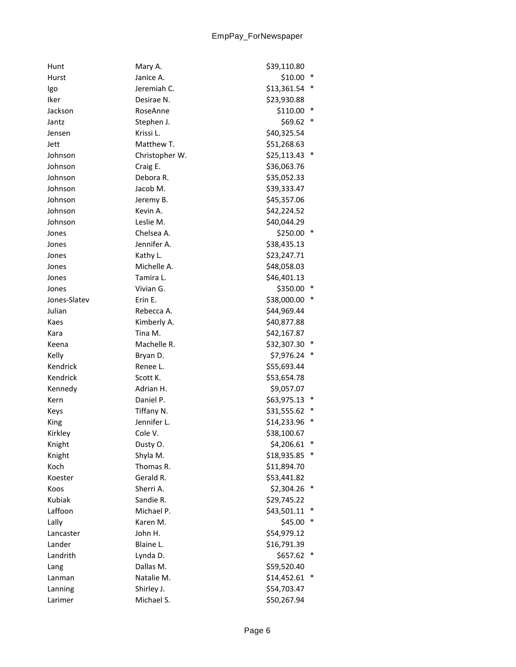| Hunt         | Mary A.        | \$39,110.80 |        |
|--------------|----------------|-------------|--------|
| Hurst        | Janice A.      | \$10.00     | $\ast$ |
| Igo          | Jeremiah C.    | \$13,361.54 | ∗      |
| Iker         | Desirae N.     | \$23,930.88 |        |
| Jackson      | RoseAnne       | \$110.00    | $\ast$ |
| Jantz        | Stephen J.     | \$69.62     | $\ast$ |
| Jensen       | Krissi L.      | \$40,325.54 |        |
| Jett         | Matthew T.     | \$51,268.63 |        |
| Johnson      | Christopher W. | \$25,113.43 | $\ast$ |
| Johnson      | Craig E.       | \$36,063.76 |        |
| Johnson      | Debora R.      | \$35,052.33 |        |
| Johnson      | Jacob M.       | \$39,333.47 |        |
| Johnson      | Jeremy B.      | \$45,357.06 |        |
| Johnson      | Kevin A.       | \$42,224.52 |        |
| Johnson      | Leslie M.      | \$40,044.29 |        |
| Jones        | Chelsea A.     | \$250.00 *  |        |
| Jones        | Jennifer A.    | \$38,435.13 |        |
| Jones        | Kathy L.       | \$23,247.71 |        |
| Jones        | Michelle A.    | \$48,058.03 |        |
| Jones        | Tamira L.      | \$46,401.13 |        |
| Jones        | Vivian G.      | \$350.00    | $\ast$ |
| Jones-Slatev | Erin E.        | \$38,000.00 | $\ast$ |
| Julian       | Rebecca A.     | \$44,969.44 |        |
| Kaes         | Kimberly A.    | \$40,877.88 |        |
| Kara         | Tina M.        | \$42,167.87 |        |
| Keena        | Machelle R.    | \$32,307.30 | *      |
| Kelly        | Bryan D.       | \$7,976.24  | $\ast$ |
| Kendrick     | Renee L.       | \$55,693.44 |        |
| Kendrick     | Scott K.       | \$53,654.78 |        |
| Kennedy      | Adrian H.      | \$9,057.07  |        |
| Kern         | Daniel P.      | \$63,975.13 | $\ast$ |
| Keys         | Tiffany N.     | \$31,555.62 | $\ast$ |
| King         | Jennifer L.    | \$14,233.96 | $\ast$ |
| Kirkley      | Cole V.        | \$38,100.67 |        |
| Knight       | Dusty O.       | \$4,206.61  | ∗      |
| Knight       | Shyla M.       | \$18,935.85 |        |
| Koch         | Thomas R.      | \$11,894.70 |        |
| Koester      | Gerald R.      | \$53,441.82 |        |
| Koos         | Sherri A.      | \$2,304.26  | ∗      |
| Kubiak       | Sandie R.      | \$29,745.22 |        |
| Laffoon      | Michael P.     | \$43,501.11 | ∗      |
| Lally        | Karen M.       | \$45.00     | ∗      |
| Lancaster    | John H.        | \$54,979.12 |        |
| Lander       | Blaine L.      | \$16,791.39 |        |
| Landrith     | Lynda D.       | \$657.62    | ∗      |
| Lang         | Dallas M.      | \$59,520.40 |        |
| Lanman       | Natalie M.     | \$14,452.61 | $\ast$ |
| Lanning      | Shirley J.     | \$54,703.47 |        |
| Larimer      | Michael S.     | \$50,267.94 |        |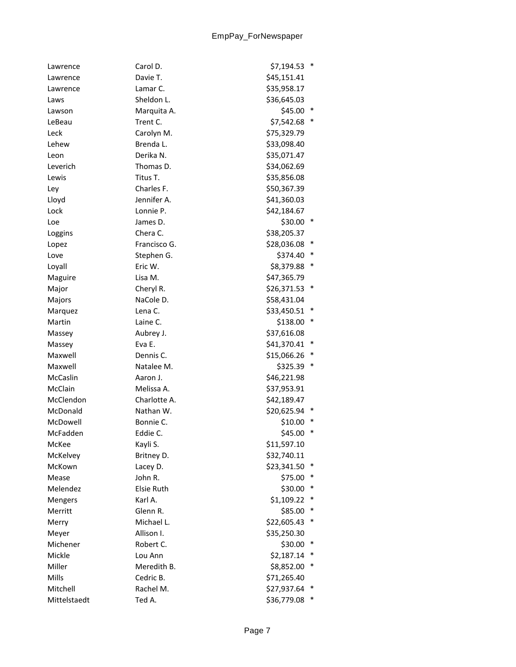| Lawrence       | Carol D.          | \$7,194.53<br>$\ast$  |
|----------------|-------------------|-----------------------|
| Lawrence       | Davie T.          | \$45,151.41           |
| Lawrence       | Lamar C.          | \$35,958.17           |
| Laws           | Sheldon L.        | \$36,645.03           |
| Lawson         | Marquita A.       | \$45.00               |
| LeBeau         | Trent C.          | ∗<br>\$7,542.68       |
| Leck           | Carolyn M.        | \$75,329.79           |
| Lehew          | Brenda L.         | \$33,098.40           |
| Leon           | Derika N.         | \$35,071.47           |
| Leverich       | Thomas D.         | \$34,062.69           |
| Lewis          | Titus T.          | \$35,856.08           |
| Ley            | Charles F.        | \$50,367.39           |
| Lloyd          | Jennifer A.       | \$41,360.03           |
| Lock           | Lonnie P.         | \$42,184.67           |
| Loe            | James D.          | \$30.00<br>$\ast$     |
| Loggins        | Chera C.          | \$38,205.37           |
| Lopez          | Francisco G.      | \$28,036.08<br>∗      |
| Love           | Stephen G.        | $\ast$<br>\$374.40    |
| Loyall         | Eric W.           | $\ast$<br>\$8,379.88  |
| Maguire        | Lisa M.           | \$47,365.79           |
| Major          | Cheryl R.         | $\ast$<br>\$26,371.53 |
| Majors         | NaCole D.         | \$58,431.04           |
| Marquez        | Lena C.           | $\ast$<br>\$33,450.51 |
| Martin         | Laine C.          | $\ast$<br>\$138.00    |
| Massey         | Aubrey J.         | \$37,616.08           |
| Massey         | Eva E.            | \$41,370.41<br>∗      |
| Maxwell        | Dennis C.         | $\ast$<br>\$15,066.26 |
| Maxwell        | Natalee M.        | $\ast$<br>\$325.39    |
| McCaslin       | Aaron J.          | \$46,221.98           |
| McClain        | Melissa A.        | \$37,953.91           |
| McClendon      | Charlotte A.      | \$42,189.47           |
| McDonald       | Nathan W.         | \$20,625.94<br>∗      |
| McDowell       | Bonnie C.         | $\ast$<br>\$10.00     |
| McFadden       | Eddie C.          | $\ast$<br>\$45.00     |
| McKee          | Kayli S.          | \$11,597.10           |
| McKelvey       | Britney D.        | \$32,740.11           |
| McKown         | Lacey D.          | \$23,341.50           |
| Mease          | John R.           | ∗<br>\$75.00          |
| Melendez       | <b>Elsie Ruth</b> | $\ast$<br>\$30.00     |
| <b>Mengers</b> | Karl A.           | \$1,109.22<br>∗       |
| Merritt        | Glenn R.          | \$85.00<br>∗          |
| Merry          | Michael L.        | \$22,605.43<br>$\ast$ |
| Meyer          | Allison I.        | \$35,250.30           |
| Michener       | Robert C.         | \$30.00<br>∗          |
| Mickle         | Lou Ann           | ∗<br>\$2,187.14       |
| Miller         | Meredith B.       | \$8,852.00<br>∗       |
| Mills          | Cedric B.         | \$71,265.40           |
| Mitchell       | Rachel M.         | \$27,937.64<br>$\ast$ |
| Mittelstaedt   | Ted A.            | $\ast$<br>\$36,779.08 |
|                |                   |                       |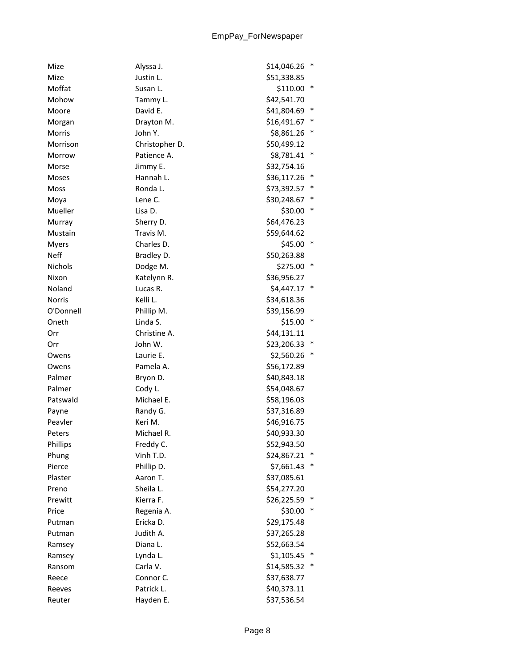| Mize           | Alyssa J.      | \$14,046.26 | ∗      |
|----------------|----------------|-------------|--------|
| Mize           | Justin L.      | \$51,338.85 |        |
| Moffat         | Susan L.       | \$110.00    | $\ast$ |
| Mohow          | Tammy L.       | \$42,541.70 |        |
| Moore          | David E.       | \$41,804.69 |        |
| Morgan         | Drayton M.     | \$16,491.67 | $\ast$ |
| Morris         | John Y.        | \$8,861.26  | ∗      |
| Morrison       | Christopher D. | \$50,499.12 |        |
| Morrow         | Patience A.    | \$8,781.41  | ∗      |
| Morse          | Jimmy E.       | \$32,754.16 |        |
| Moses          | Hannah L.      | \$36,117.26 | $\ast$ |
| Moss           | Ronda L.       | \$73,392.57 | ∗      |
| Moya           | Lene C.        | \$30,248.67 |        |
| Mueller        | Lisa D.        | \$30.00     | $\ast$ |
| Murray         | Sherry D.      | \$64,476.23 |        |
| Mustain        | Travis M.      | \$59,644.62 |        |
| <b>Myers</b>   | Charles D.     | \$45.00     | $\ast$ |
| <b>Neff</b>    | Bradley D.     | \$50,263.88 |        |
| <b>Nichols</b> | Dodge M.       | \$275.00    | ∗      |
| Nixon          | Katelynn R.    | \$36,956.27 |        |
| Noland         | Lucas R.       | \$4,447.17  | $\ast$ |
| <b>Norris</b>  | Kelli L.       | \$34,618.36 |        |
| O'Donnell      | Phillip M.     | \$39,156.99 |        |
| Oneth          | Linda S.       | \$15.00     | *      |
| Orr            | Christine A.   | \$44,131.11 |        |
| Orr            | John W.        | \$23,206.33 | $\ast$ |
| Owens          | Laurie E.      | \$2,560.26  | ∗      |
| Owens          | Pamela A.      | \$56,172.89 |        |
| Palmer         | Bryon D.       | \$40,843.18 |        |
| Palmer         | Cody L.        | \$54,048.67 |        |
| Patswald       | Michael E.     | \$58,196.03 |        |
| Payne          | Randy G.       | \$37,316.89 |        |
| Peavler        | Keri M.        | \$46,916.75 |        |
| Peters         | Michael R.     | \$40,933.30 |        |
| Phillips       | Freddy C.      | \$52,943.50 |        |
| Phung          | Vinh T.D.      | \$24,867.21 | *      |
| Pierce         | Phillip D.     | \$7,661.43  | $\ast$ |
| Plaster        | Aaron T.       | \$37,085.61 |        |
| Preno          | Sheila L.      | \$54,277.20 |        |
| Prewitt        | Kierra F.      | \$26,225.59 |        |
| Price          | Regenia A.     | \$30.00     | $\ast$ |
| Putman         | Ericka D.      | \$29,175.48 |        |
| Putman         | Judith A.      | \$37,265.28 |        |
| Ramsey         | Diana L.       | \$52,663.54 |        |
| Ramsey         | Lynda L.       | \$1,105.45  |        |
| Ransom         | Carla V.       | \$14,585.32 | $\ast$ |
| Reece          | Connor C.      | \$37,638.77 |        |
| Reeves         | Patrick L.     | \$40,373.11 |        |
| Reuter         | Hayden E.      | \$37,536.54 |        |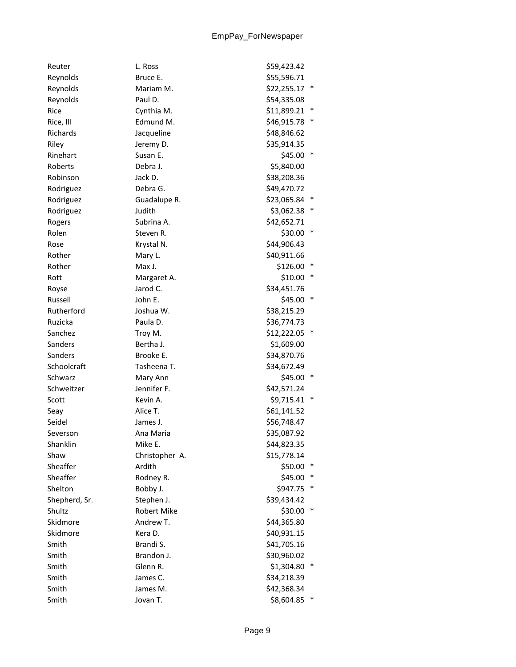| Reuter        | L. Ross            | \$59,423.42 |        |
|---------------|--------------------|-------------|--------|
| Reynolds      | Bruce E.           | \$55,596.71 |        |
| Reynolds      | Mariam M.          | \$22,255.17 | $\ast$ |
| Reynolds      | Paul D.            | \$54,335.08 |        |
| Rice          | Cynthia M.         | \$11,899.21 |        |
| Rice, III     | Edmund M.          | \$46,915.78 | $\ast$ |
| Richards      | Jacqueline         | \$48,846.62 |        |
| Riley         | Jeremy D.          | \$35,914.35 |        |
| Rinehart      | Susan E.           | \$45.00     | ∗      |
| Roberts       | Debra J.           | \$5,840.00  |        |
| Robinson      | Jack D.            | \$38,208.36 |        |
| Rodriguez     | Debra G.           | \$49,470.72 |        |
| Rodriguez     | Guadalupe R.       | \$23,065.84 |        |
| Rodriguez     | Judith             | \$3,062.38  |        |
| Rogers        | Subrina A.         | \$42,652.71 |        |
| Rolen         | Steven R.          | \$30.00     | $\ast$ |
| Rose          | Krystal N.         | \$44,906.43 |        |
| Rother        | Mary L.            | \$40,911.66 |        |
| Rother        | Max J.             | \$126.00    |        |
| Rott          | Margaret A.        | \$10.00     | ∗      |
| Royse         | Jarod C.           | \$34,451.76 |        |
| Russell       | John E.            | \$45.00     | $\ast$ |
| Rutherford    | Joshua W.          | \$38,215.29 |        |
| Ruzicka       | Paula D.           | \$36,774.73 |        |
| Sanchez       | Troy M.            | \$12,222.05 |        |
| Sanders       | Bertha J.          | \$1,609.00  |        |
| Sanders       | Brooke E.          | \$34,870.76 |        |
| Schoolcraft   | Tasheena T.        | \$34,672.49 |        |
| Schwarz       | Mary Ann           | \$45.00     | $\ast$ |
| Schweitzer    | Jennifer F.        | \$42,571.24 |        |
| Scott         | Kevin A.           | \$9,715.41  | $\ast$ |
| Seay          | Alice T.           | \$61,141.52 |        |
| Seidel        | James J.           | \$56,748.47 |        |
| Severson      | Ana Maria          | \$35,087.92 |        |
| Shanklin      | Mike E.            | \$44,823.35 |        |
| Shaw          | Christopher A.     | \$15,778.14 |        |
| Sheaffer      | Ardith             | \$50.00     | ∗      |
| Sheaffer      | Rodney R.          | \$45.00     |        |
| Shelton       | Bobby J.           | \$947.75    | $\ast$ |
| Shepherd, Sr. | Stephen J.         | \$39,434.42 |        |
| Shultz        | <b>Robert Mike</b> | \$30.00     | $\ast$ |
| Skidmore      | Andrew T.          | \$44,365.80 |        |
| Skidmore      | Kera D.            | \$40,931.15 |        |
| Smith         | Brandi S.          | \$41,705.16 |        |
| Smith         | Brandon J.         | \$30,960.02 |        |
| Smith         | Glenn R.           | \$1,304.80  | ∗      |
| Smith         | James C.           | \$34,218.39 |        |
| Smith         | James M.           | \$42,368.34 |        |
| Smith         | Jovan T.           | \$8,604.85  |        |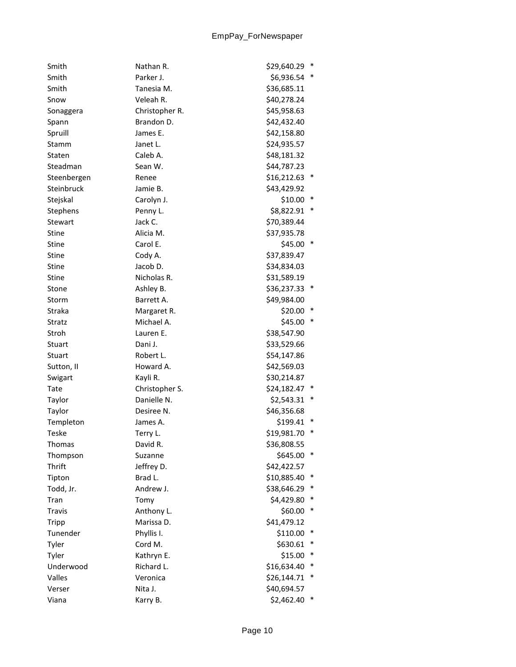| Smith         | Nathan R.      | \$29,640.29 | $\ast$ |
|---------------|----------------|-------------|--------|
| Smith         | Parker J.      | \$6,936.54  | $\ast$ |
| Smith         | Tanesia M.     | \$36,685.11 |        |
| Snow          | Veleah R.      | \$40,278.24 |        |
| Sonaggera     | Christopher R. | \$45,958.63 |        |
| Spann         | Brandon D.     | \$42,432.40 |        |
| Spruill       | James E.       | \$42,158.80 |        |
| Stamm         | Janet L.       | \$24,935.57 |        |
| Staten        | Caleb A.       | \$48,181.32 |        |
| Steadman      | Sean W.        | \$44,787.23 |        |
| Steenbergen   | Renee          | \$16,212.63 | $\ast$ |
| Steinbruck    | Jamie B.       | \$43,429.92 |        |
| Stejskal      | Carolyn J.     | \$10.00     | $\ast$ |
| Stephens      | Penny L.       | \$8,822.91  | $\ast$ |
| Stewart       | Jack C.        | \$70,389.44 |        |
| <b>Stine</b>  | Alicia M.      | \$37,935.78 |        |
| <b>Stine</b>  | Carol E.       | \$45.00     | ∗      |
| <b>Stine</b>  | Cody A.        | \$37,839.47 |        |
| Stine         | Jacob D.       | \$34,834.03 |        |
| <b>Stine</b>  | Nicholas R.    | \$31,589.19 |        |
| Stone         | Ashley B.      | \$36,237.33 | $\ast$ |
| Storm         | Barrett A.     | \$49,984.00 |        |
| Straka        | Margaret R.    | \$20.00     | $\ast$ |
| Stratz        | Michael A.     | \$45.00 *   |        |
| Stroh         | Lauren E.      | \$38,547.90 |        |
| Stuart        | Dani J.        | \$33,529.66 |        |
| <b>Stuart</b> | Robert L.      | \$54,147.86 |        |
| Sutton, II    | Howard A.      | \$42,569.03 |        |
| Swigart       | Kayli R.       | \$30,214.87 |        |
| Tate          | Christopher S. | \$24,182.47 | ∗      |
| Taylor        | Danielle N.    | \$2,543.31  | ∗      |
| Taylor        | Desiree N.     | \$46,356.68 |        |
| Templeton     | James A.       | \$199.41    | $\ast$ |
| <b>Teske</b>  | Terry L.       | \$19,981.70 | $\ast$ |
| Thomas        | David R.       | \$36,808.55 |        |
| Thompson      | Suzanne        | \$645.00    | $\ast$ |
| Thrift        | Jeffrey D.     | \$42,422.57 |        |
| Tipton        | Brad L.        | \$10,885.40 |        |
| Todd, Jr.     | Andrew J.      | \$38,646.29 | ∗      |
| Tran          | Tomy           | \$4,429.80  | $\ast$ |
| <b>Travis</b> | Anthony L.     | \$60.00     | $\ast$ |
| Tripp         | Marissa D.     | \$41,479.12 |        |
| Tunender      | Phyllis I.     | \$110.00    | ∗      |
| Tyler         | Cord M.        | \$630.61    | ∗      |
| Tyler         | Kathryn E.     | \$15.00     | ∗      |
| Underwood     | Richard L.     | \$16,634.40 | $\ast$ |
| Valles        | Veronica       | \$26,144.71 | $\ast$ |
| Verser        | Nita J.        | \$40,694.57 |        |
| Viana         | Karry B.       | \$2,462.40  | ∗      |